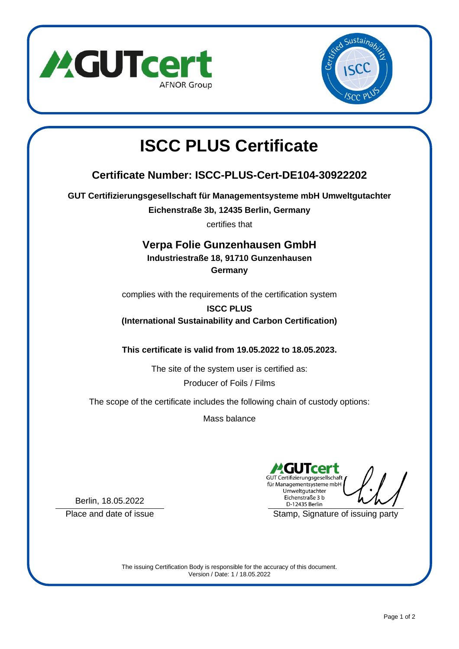



# **ISCC PLUS Certificate**

# **Certificate Number: ISCC-PLUS-Cert-DE104-30922202**

**GUT Certifizierungsgesellschaft für Managementsysteme mbH Umweltgutachter**

**Eichenstraße 3b, 12435 Berlin, Germany**

certifies that

## **Verpa Folie Gunzenhausen GmbH**

# **Industriestraße 18, 91710 Gunzenhausen**

**Germany**

complies with the requirements of the certification system

#### **ISCC PLUS (International Sustainability and Carbon Certification)**

**This certificate is valid from 19.05.2022 to 18.05.2023.**

The site of the system user is certified as: Producer of Foils / Films

The scope of the certificate includes the following chain of custody options:

Mass balance

GUT Certifizierungsgesellschaft für Managementsysteme mbH Umweltgutachter Eichenstraße 3 b D-12435 Berlin

Place and date of issue Stamp, Signature of issuing party

Berlin, 18.05.2022

The issuing Certification Body is responsible for the accuracy of this document. Version / Date: 1 / 18.05.2022